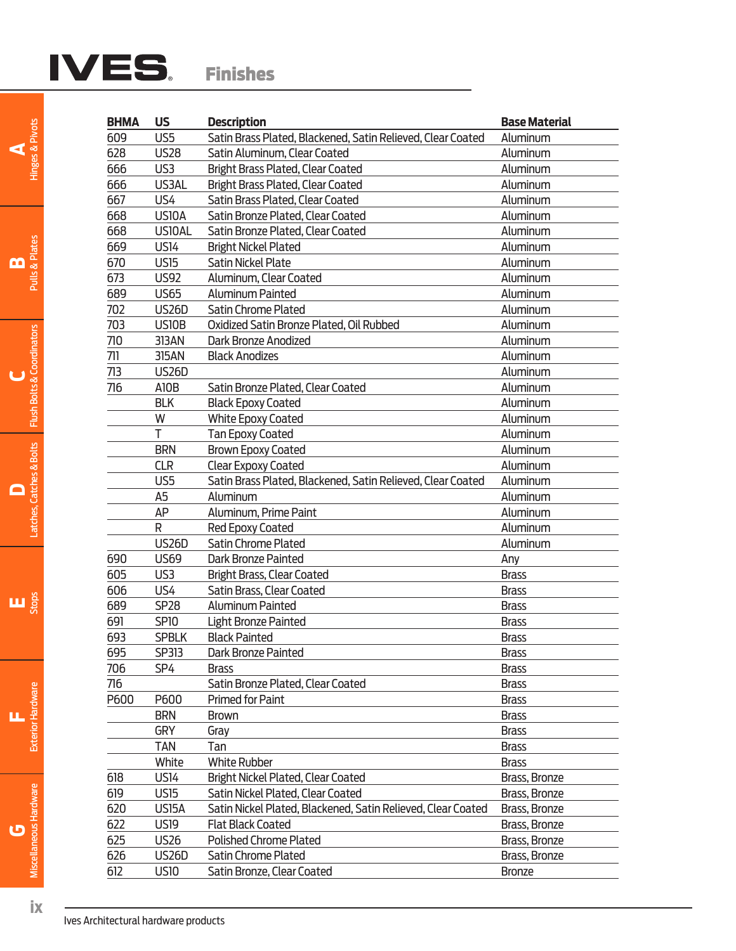# IVES. Finishes

| <b>BHMA</b> | <b>US</b>          | <b>Description</b>                                                            | <b>Base Material</b> |  |  |  |  |  |
|-------------|--------------------|-------------------------------------------------------------------------------|----------------------|--|--|--|--|--|
| 609         | US5                | Satin Brass Plated, Blackened, Satin Relieved, Clear Coated                   | Aluminum             |  |  |  |  |  |
| 628         | <b>US28</b>        | Satin Aluminum, Clear Coated                                                  | Aluminum             |  |  |  |  |  |
| 666         | US3                | Aluminum<br><b>Bright Brass Plated, Clear Coated</b>                          |                      |  |  |  |  |  |
| 666         | US3AL              | <b>Bright Brass Plated, Clear Coated</b><br>Aluminum                          |                      |  |  |  |  |  |
| 667         | US4                | Satin Brass Plated, Clear Coated                                              | Aluminum             |  |  |  |  |  |
| 668         | US10A              | Satin Bronze Plated, Clear Coated                                             | Aluminum             |  |  |  |  |  |
| 668         | <b>US10AL</b>      | Satin Bronze Plated, Clear Coated                                             | Aluminum             |  |  |  |  |  |
| 669         | <b>US14</b>        | <b>Bright Nickel Plated</b>                                                   | Aluminum             |  |  |  |  |  |
| 670         | <b>US15</b>        | <b>Satin Nickel Plate</b>                                                     | Aluminum             |  |  |  |  |  |
| 673         | <b>US92</b>        | Aluminum, Clear Coated                                                        | Aluminum             |  |  |  |  |  |
| 689         | <b>US65</b>        | <b>Aluminum Painted</b>                                                       | Aluminum             |  |  |  |  |  |
| 702         | <b>US26D</b>       | <b>Satin Chrome Plated</b>                                                    | Aluminum             |  |  |  |  |  |
| 703         | US10B              | Oxidized Satin Bronze Plated, Oil Rubbed                                      | Aluminum             |  |  |  |  |  |
| 710         | 313AN              | Dark Bronze Anodized                                                          | Aluminum             |  |  |  |  |  |
| 711         | 315AN              | <b>Black Anodizes</b>                                                         | Aluminum             |  |  |  |  |  |
| 713         | <b>US26D</b>       |                                                                               | Aluminum             |  |  |  |  |  |
| 716         | A10B               | Satin Bronze Plated, Clear Coated                                             | Aluminum             |  |  |  |  |  |
|             | <b>BLK</b>         | <b>Black Epoxy Coated</b>                                                     | Aluminum             |  |  |  |  |  |
|             | W                  | <b>White Epoxy Coated</b>                                                     | Aluminum             |  |  |  |  |  |
|             | T                  | <b>Tan Epoxy Coated</b>                                                       | Aluminum             |  |  |  |  |  |
|             | <b>BRN</b>         | <b>Brown Epoxy Coated</b>                                                     | Aluminum             |  |  |  |  |  |
|             | <b>CLR</b>         | <b>Clear Expoxy Coated</b>                                                    | Aluminum             |  |  |  |  |  |
|             | US5                | Satin Brass Plated, Blackened, Satin Relieved, Clear Coated                   | Aluminum             |  |  |  |  |  |
|             | A <sub>5</sub>     | Aluminum                                                                      | Aluminum             |  |  |  |  |  |
|             | AP                 | Aluminum, Prime Paint                                                         | Aluminum             |  |  |  |  |  |
|             | R                  | Red Epoxy Coated                                                              | Aluminum             |  |  |  |  |  |
|             | <b>US26D</b>       | Satin Chrome Plated                                                           | Aluminum             |  |  |  |  |  |
| 690         | <b>US69</b>        | <b>Dark Bronze Painted</b>                                                    | Any                  |  |  |  |  |  |
| 605         | US3                | <b>Bright Brass, Clear Coated</b>                                             | <b>Brass</b>         |  |  |  |  |  |
| 606         | US4                | Satin Brass, Clear Coated                                                     | <b>Brass</b>         |  |  |  |  |  |
| 689         | <b>SP28</b>        | <b>Aluminum Painted</b>                                                       | <b>Brass</b>         |  |  |  |  |  |
| 691         | <b>SP10</b>        | <b>Light Bronze Painted</b>                                                   | <b>Brass</b>         |  |  |  |  |  |
| 693         | <b>SPBLK</b>       | <b>Black Painted</b>                                                          | <b>Brass</b>         |  |  |  |  |  |
| 695         | SP313              | Dark Bronze Painted                                                           | <b>Brass</b>         |  |  |  |  |  |
| 706         | SP4                | Brass                                                                         | <b>Brass</b>         |  |  |  |  |  |
| 716         |                    | Satin Bronze Plated, Clear Coated                                             | <b>Brass</b>         |  |  |  |  |  |
| P600        | P600               | <b>Primed for Paint</b>                                                       | <b>Brass</b>         |  |  |  |  |  |
|             | <b>BRN</b>         | <b>Brown</b>                                                                  | <b>Brass</b>         |  |  |  |  |  |
|             | <b>GRY</b>         | Gray                                                                          | <b>Brass</b>         |  |  |  |  |  |
|             | TAN                | Tan                                                                           | <b>Brass</b>         |  |  |  |  |  |
|             | White              | <b>White Rubber</b>                                                           | <b>Brass</b>         |  |  |  |  |  |
| 618         | <b>US14</b>        | <b>Bright Nickel Plated, Clear Coated</b>                                     | Brass, Bronze        |  |  |  |  |  |
| 619         | <b>US15</b>        | Satin Nickel Plated, Clear Coated<br>Brass, Bronze                            |                      |  |  |  |  |  |
| 620         | US <sub>15</sub> A | Satin Nickel Plated, Blackened, Satin Relieved, Clear Coated<br>Brass, Bronze |                      |  |  |  |  |  |
| 622         | <b>US19</b>        | <b>Flat Black Coated</b>                                                      | Brass, Bronze        |  |  |  |  |  |
| 625         | <b>US26</b>        | <b>Polished Chrome Plated</b>                                                 | Brass, Bronze        |  |  |  |  |  |
| 626         | <b>US26D</b>       | Satin Chrome Plated                                                           | Brass, Bronze        |  |  |  |  |  |
| 612         | <b>US10</b>        | Satin Bronze, Clear Coated                                                    | <b>Bronze</b>        |  |  |  |  |  |
|             |                    |                                                                               |                      |  |  |  |  |  |

**E** Stops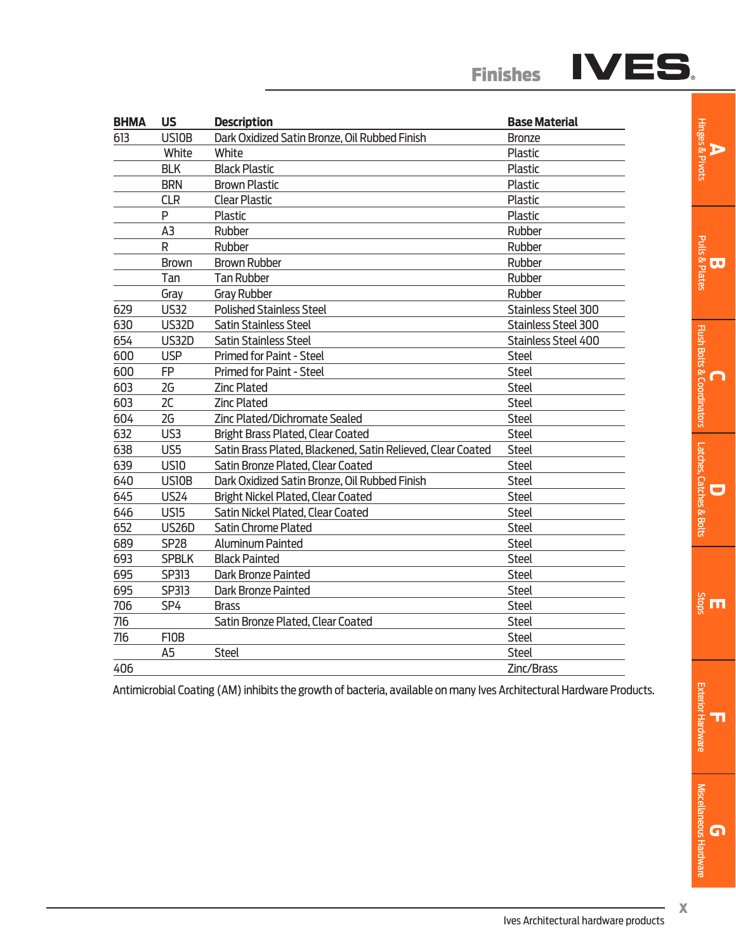| <b>BHMA</b> | <b>US</b>      | <b>Description</b>                                          | <b>Base Material</b>       |  |  |
|-------------|----------------|-------------------------------------------------------------|----------------------------|--|--|
| 613         | US10B          | Dark Oxidized Satin Bronze, Oil Rubbed Finish               | <b>Bronze</b>              |  |  |
|             | White          | White                                                       | Plastic                    |  |  |
|             | <b>BLK</b>     | <b>Black Plastic</b>                                        | <b>Plastic</b>             |  |  |
|             | <b>BRN</b>     | <b>Brown Plastic</b>                                        | Plastic                    |  |  |
|             | <b>CLR</b>     | <b>Clear Plastic</b>                                        | <b>Plastic</b>             |  |  |
|             | P              | Plastic                                                     | Plastic                    |  |  |
|             | A <sub>3</sub> | Rubber                                                      | Rubber                     |  |  |
|             | R              | Rubber                                                      | Rubber                     |  |  |
|             | <b>Brown</b>   | <b>Brown Rubber</b>                                         | Rubber                     |  |  |
|             | Tan            | <b>Tan Rubber</b>                                           | Rubber                     |  |  |
|             | Gray           | <b>Gray Rubber</b>                                          | Rubber                     |  |  |
| 629         | <b>US32</b>    | <b>Polished Stainless Steel</b>                             | <b>Stainless Steel 300</b> |  |  |
| 630         | <b>US32D</b>   | <b>Satin Stainless Steel</b>                                | Stainless Steel 300        |  |  |
| 654         | <b>US32D</b>   | <b>Satin Stainless Steel</b>                                | Stainless Steel 400        |  |  |
| 600         | <b>USP</b>     | <b>Primed for Paint - Steel</b>                             | <b>Steel</b>               |  |  |
| 600         | FP             | Primed for Paint - Steel                                    | <b>Steel</b>               |  |  |
| 603         | 2G             | <b>Zinc Plated</b>                                          | <b>Steel</b>               |  |  |
| 603         | 2C             | <b>Zinc Plated</b>                                          | <b>Steel</b>               |  |  |
| 604         | 2G             | Zinc Plated/Dichromate Sealed                               | <b>Steel</b>               |  |  |
| 632         | US3            | <b>Bright Brass Plated, Clear Coated</b>                    | <b>Steel</b>               |  |  |
| 638         | US5            | Satin Brass Plated, Blackened, Satin Relieved, Clear Coated | <b>Steel</b>               |  |  |
| 639         | <b>US10</b>    | Satin Bronze Plated, Clear Coated                           | <b>Steel</b>               |  |  |
| 640         | US10B          | Dark Oxidized Satin Bronze, Oil Rubbed Finish               | <b>Steel</b>               |  |  |
| 645         | <b>US24</b>    | <b>Bright Nickel Plated, Clear Coated</b>                   | <b>Steel</b>               |  |  |
| 646         | <b>US15</b>    | Satin Nickel Plated, Clear Coated                           | <b>Steel</b>               |  |  |
| 652         | <b>US26D</b>   | <b>Satin Chrome Plated</b>                                  | <b>Steel</b>               |  |  |
| 689         | <b>SP28</b>    | <b>Aluminum Painted</b>                                     | <b>Steel</b>               |  |  |
| 693         | <b>SPBLK</b>   | <b>Black Painted</b>                                        | <b>Steel</b>               |  |  |
| 695         | SP313          | Dark Bronze Painted                                         | <b>Steel</b>               |  |  |
| 695         | SP313          | Dark Bronze Painted                                         | <b>Steel</b>               |  |  |
| 706         | SP4            | <b>Brass</b>                                                | <b>Steel</b>               |  |  |
| 716         |                | Satin Bronze Plated, Clear Coated                           | <b>Steel</b>               |  |  |
| 716         | F10B           |                                                             | <b>Steel</b>               |  |  |
|             | A <sub>5</sub> | <b>Steel</b>                                                | <b>Steel</b>               |  |  |
| 406         |                |                                                             | Zinc/Brass                 |  |  |

Antimicrobial Coating (AM) inhibits the growth of bacteria, available on many Ives Architectural Hardware Products.